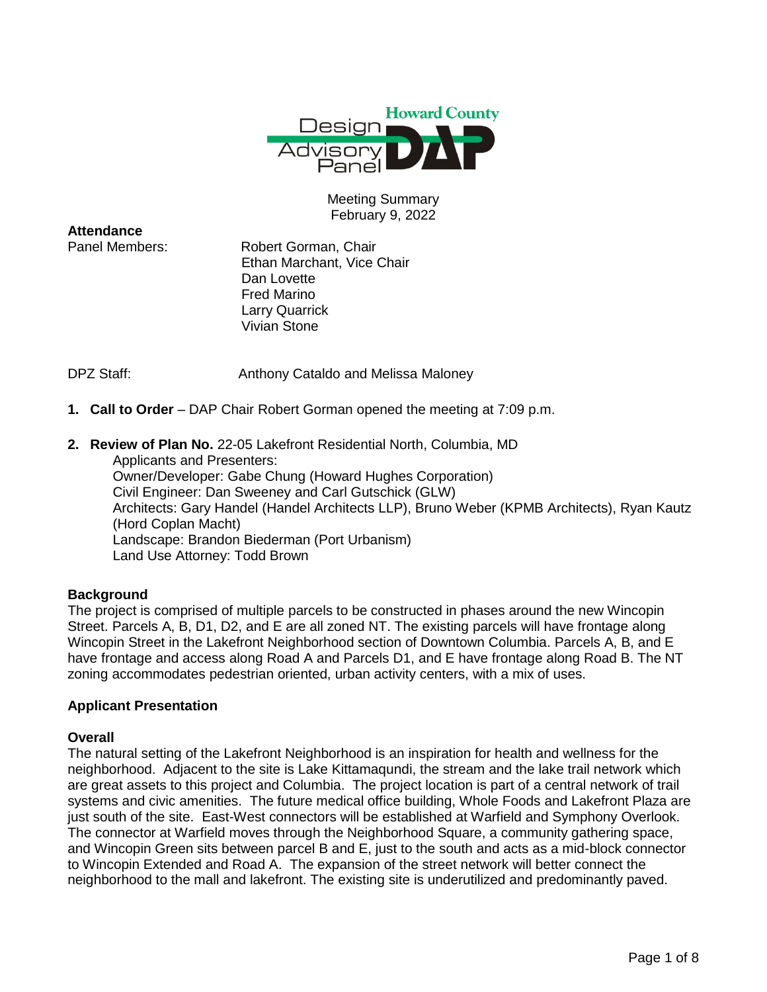

Meeting Summary February 9, 2022

**Attendance**

Panel Members: Robert Gorman, Chair Ethan Marchant, Vice Chair Dan Lovette Fred Marino Larry Quarrick Vivian Stone

DPZ Staff: **Anthony Cataldo and Melissa Maloney** 

- **1. Call to Order** DAP Chair Robert Gorman opened the meeting at 7:09 p.m.
- **2. Review of Plan No.** 22-05 Lakefront Residential North, Columbia, MD

Applicants and Presenters: Owner/Developer: Gabe Chung (Howard Hughes Corporation) Civil Engineer: Dan Sweeney and Carl Gutschick (GLW) Architects: Gary Handel (Handel Architects LLP), Bruno Weber (KPMB Architects), Ryan Kautz (Hord Coplan Macht) Landscape: Brandon Biederman (Port Urbanism) Land Use Attorney: Todd Brown

# **Background**

The project is comprised of multiple parcels to be constructed in phases around the new Wincopin Street. Parcels A, B, D1, D2, and E are all zoned NT. The existing parcels will have frontage along Wincopin Street in the Lakefront Neighborhood section of Downtown Columbia. Parcels A, B, and E have frontage and access along Road A and Parcels D1, and E have frontage along Road B. The NT zoning accommodates pedestrian oriented, urban activity centers, with a mix of uses.

# **Applicant Presentation**

#### **Overall**

The natural setting of the Lakefront Neighborhood is an inspiration for health and wellness for the neighborhood. Adjacent to the site is Lake Kittamaqundi, the stream and the lake trail network which are great assets to this project and Columbia. The project location is part of a central network of trail systems and civic amenities. The future medical office building, Whole Foods and Lakefront Plaza are just south of the site. East-West connectors will be established at Warfield and Symphony Overlook. The connector at Warfield moves through the Neighborhood Square, a community gathering space, and Wincopin Green sits between parcel B and E, just to the south and acts as a mid-block connector to Wincopin Extended and Road A. The expansion of the street network will better connect the neighborhood to the mall and lakefront. The existing site is underutilized and predominantly paved.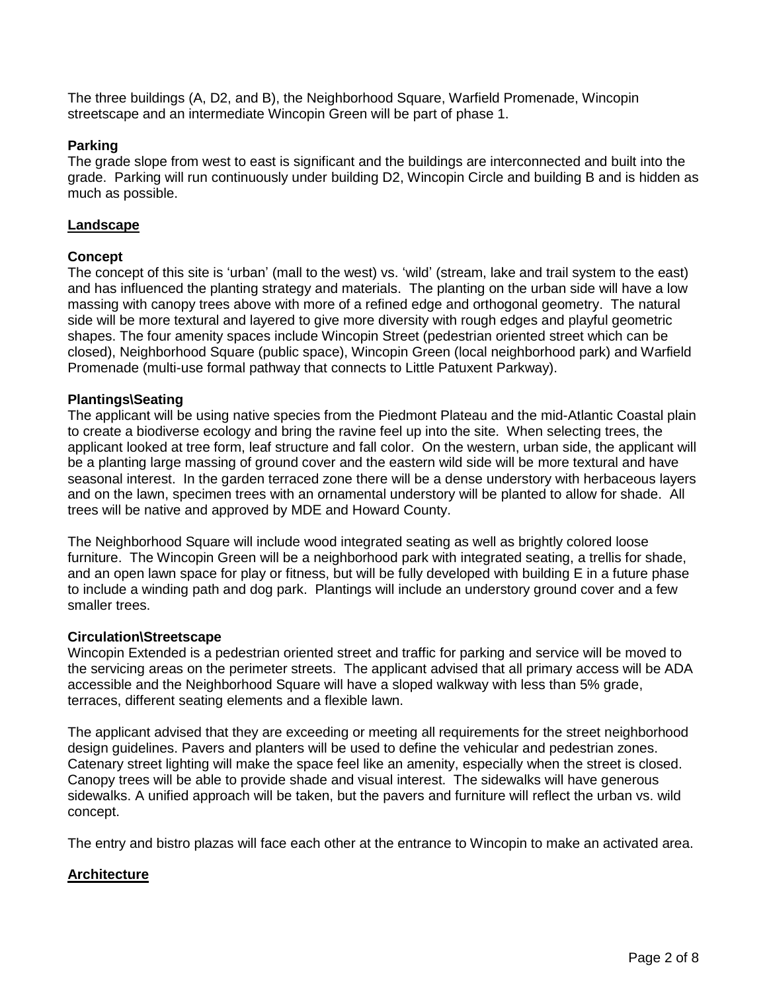The three buildings (A, D2, and B), the Neighborhood Square, Warfield Promenade, Wincopin streetscape and an intermediate Wincopin Green will be part of phase 1.

# **Parking**

The grade slope from west to east is significant and the buildings are interconnected and built into the grade. Parking will run continuously under building D2, Wincopin Circle and building B and is hidden as much as possible.

## **Landscape**

## **Concept**

The concept of this site is 'urban' (mall to the west) vs. 'wild' (stream, lake and trail system to the east) and has influenced the planting strategy and materials. The planting on the urban side will have a low massing with canopy trees above with more of a refined edge and orthogonal geometry. The natural side will be more textural and layered to give more diversity with rough edges and playful geometric shapes. The four amenity spaces include Wincopin Street (pedestrian oriented street which can be closed), Neighborhood Square (public space), Wincopin Green (local neighborhood park) and Warfield Promenade (multi-use formal pathway that connects to Little Patuxent Parkway).

## **Plantings\Seating**

The applicant will be using native species from the Piedmont Plateau and the mid-Atlantic Coastal plain to create a biodiverse ecology and bring the ravine feel up into the site. When selecting trees, the applicant looked at tree form, leaf structure and fall color. On the western, urban side, the applicant will be a planting large massing of ground cover and the eastern wild side will be more textural and have seasonal interest. In the garden terraced zone there will be a dense understory with herbaceous layers and on the lawn, specimen trees with an ornamental understory will be planted to allow for shade. All trees will be native and approved by MDE and Howard County.

The Neighborhood Square will include wood integrated seating as well as brightly colored loose furniture. The Wincopin Green will be a neighborhood park with integrated seating, a trellis for shade, and an open lawn space for play or fitness, but will be fully developed with building E in a future phase to include a winding path and dog park. Plantings will include an understory ground cover and a few smaller trees.

#### **Circulation\Streetscape**

Wincopin Extended is a pedestrian oriented street and traffic for parking and service will be moved to the servicing areas on the perimeter streets. The applicant advised that all primary access will be ADA accessible and the Neighborhood Square will have a sloped walkway with less than 5% grade, terraces, different seating elements and a flexible lawn.

The applicant advised that they are exceeding or meeting all requirements for the street neighborhood design guidelines. Pavers and planters will be used to define the vehicular and pedestrian zones. Catenary street lighting will make the space feel like an amenity, especially when the street is closed. Canopy trees will be able to provide shade and visual interest. The sidewalks will have generous sidewalks. A unified approach will be taken, but the pavers and furniture will reflect the urban vs. wild concept.

The entry and bistro plazas will face each other at the entrance to Wincopin to make an activated area.

# **Architecture**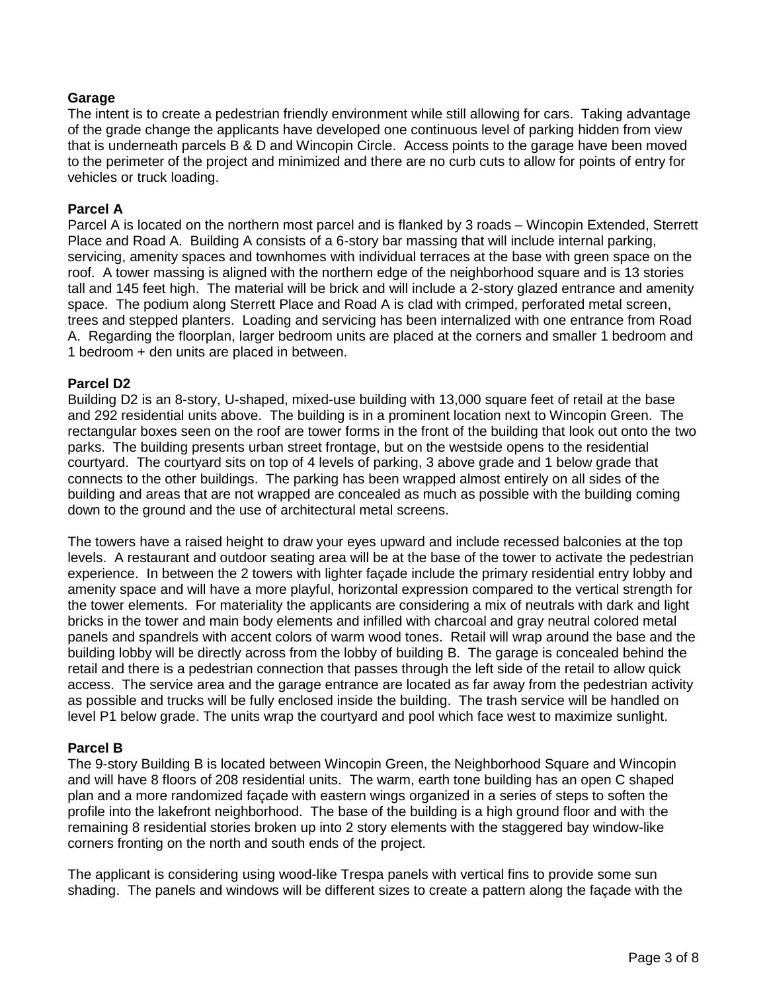# **Garage**

The intent is to create a pedestrian friendly environment while still allowing for cars. Taking advantage of the grade change the applicants have developed one continuous level of parking hidden from view that is underneath parcels B & D and Wincopin Circle. Access points to the garage have been moved to the perimeter of the project and minimized and there are no curb cuts to allow for points of entry for vehicles or truck loading.

#### **Parcel A**

Parcel A is located on the northern most parcel and is flanked by 3 roads – Wincopin Extended, Sterrett Place and Road A. Building A consists of a 6-story bar massing that will include internal parking, servicing, amenity spaces and townhomes with individual terraces at the base with green space on the roof. A tower massing is aligned with the northern edge of the neighborhood square and is 13 stories tall and 145 feet high. The material will be brick and will include a 2-story glazed entrance and amenity space. The podium along Sterrett Place and Road A is clad with crimped, perforated metal screen, trees and stepped planters. Loading and servicing has been internalized with one entrance from Road A. Regarding the floorplan, larger bedroom units are placed at the corners and smaller 1 bedroom and 1 bedroom + den units are placed in between.

#### **Parcel D2**

Building D2 is an 8-story, U-shaped, mixed-use building with 13,000 square feet of retail at the base and 292 residential units above. The building is in a prominent location next to Wincopin Green. The rectangular boxes seen on the roof are tower forms in the front of the building that look out onto the two parks. The building presents urban street frontage, but on the westside opens to the residential courtyard. The courtyard sits on top of 4 levels of parking, 3 above grade and 1 below grade that connects to the other buildings. The parking has been wrapped almost entirely on all sides of the building and areas that are not wrapped are concealed as much as possible with the building coming down to the ground and the use of architectural metal screens.

The towers have a raised height to draw your eyes upward and include recessed balconies at the top levels. A restaurant and outdoor seating area will be at the base of the tower to activate the pedestrian experience. In between the 2 towers with lighter façade include the primary residential entry lobby and amenity space and will have a more playful, horizontal expression compared to the vertical strength for the tower elements. For materiality the applicants are considering a mix of neutrals with dark and light bricks in the tower and main body elements and infilled with charcoal and gray neutral colored metal panels and spandrels with accent colors of warm wood tones. Retail will wrap around the base and the building lobby will be directly across from the lobby of building B. The garage is concealed behind the retail and there is a pedestrian connection that passes through the left side of the retail to allow quick access. The service area and the garage entrance are located as far away from the pedestrian activity as possible and trucks will be fully enclosed inside the building. The trash service will be handled on level P1 below grade. The units wrap the courtyard and pool which face west to maximize sunlight.

#### **Parcel B**

The 9-story Building B is located between Wincopin Green, the Neighborhood Square and Wincopin and will have 8 floors of 208 residential units. The warm, earth tone building has an open C shaped plan and a more randomized façade with eastern wings organized in a series of steps to soften the profile into the lakefront neighborhood. The base of the building is a high ground floor and with the remaining 8 residential stories broken up into 2 story elements with the staggered bay window-like corners fronting on the north and south ends of the project.

The applicant is considering using wood-like Trespa panels with vertical fins to provide some sun shading. The panels and windows will be different sizes to create a pattern along the façade with the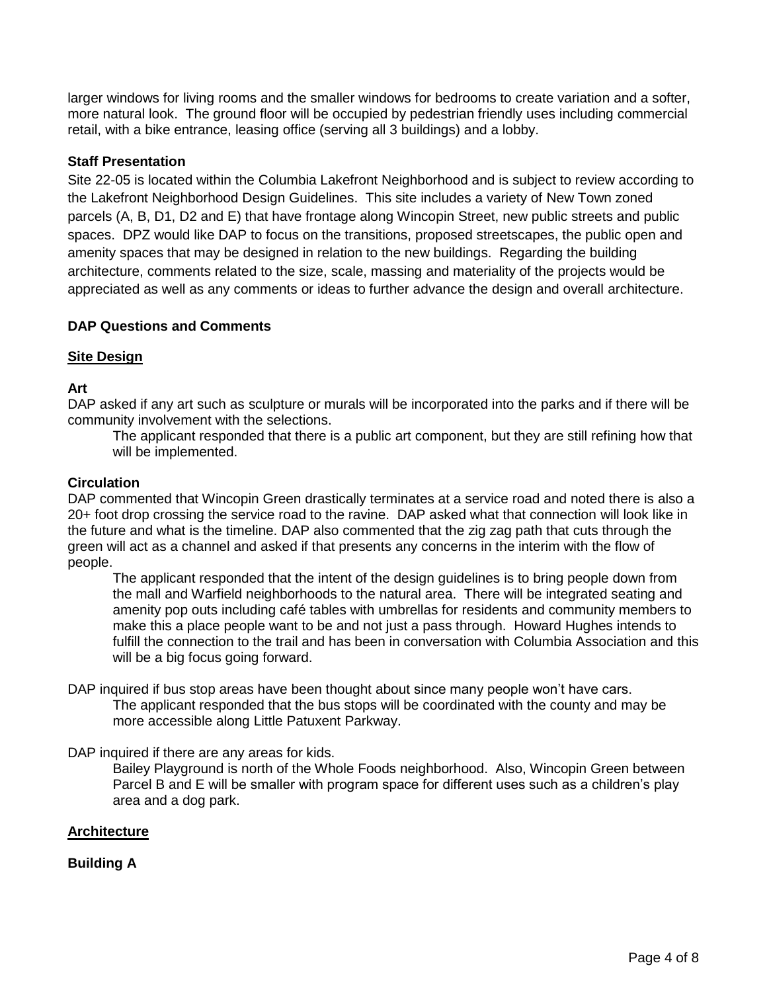larger windows for living rooms and the smaller windows for bedrooms to create variation and a softer, more natural look. The ground floor will be occupied by pedestrian friendly uses including commercial retail, with a bike entrance, leasing office (serving all 3 buildings) and a lobby.

# **Staff Presentation**

Site 22-05 is located within the Columbia Lakefront Neighborhood and is subject to review according to the Lakefront Neighborhood Design Guidelines. This site includes a variety of New Town zoned parcels (A, B, D1, D2 and E) that have frontage along Wincopin Street, new public streets and public spaces. DPZ would like DAP to focus on the transitions, proposed streetscapes, the public open and amenity spaces that may be designed in relation to the new buildings. Regarding the building architecture, comments related to the size, scale, massing and materiality of the projects would be appreciated as well as any comments or ideas to further advance the design and overall architecture.

# **DAP Questions and Comments**

# **Site Design**

# **Art**

DAP asked if any art such as sculpture or murals will be incorporated into the parks and if there will be community involvement with the selections.

The applicant responded that there is a public art component, but they are still refining how that will be implemented.

## **Circulation**

DAP commented that Wincopin Green drastically terminates at a service road and noted there is also a 20+ foot drop crossing the service road to the ravine. DAP asked what that connection will look like in the future and what is the timeline. DAP also commented that the zig zag path that cuts through the green will act as a channel and asked if that presents any concerns in the interim with the flow of people.

The applicant responded that the intent of the design guidelines is to bring people down from the mall and Warfield neighborhoods to the natural area. There will be integrated seating and amenity pop outs including café tables with umbrellas for residents and community members to make this a place people want to be and not just a pass through. Howard Hughes intends to fulfill the connection to the trail and has been in conversation with Columbia Association and this will be a big focus going forward.

DAP inquired if bus stop areas have been thought about since many people won't have cars. The applicant responded that the bus stops will be coordinated with the county and may be more accessible along Little Patuxent Parkway.

DAP inquired if there are any areas for kids.

Bailey Playground is north of the Whole Foods neighborhood. Also, Wincopin Green between Parcel B and E will be smaller with program space for different uses such as a children's play area and a dog park.

# **Architecture**

# **Building A**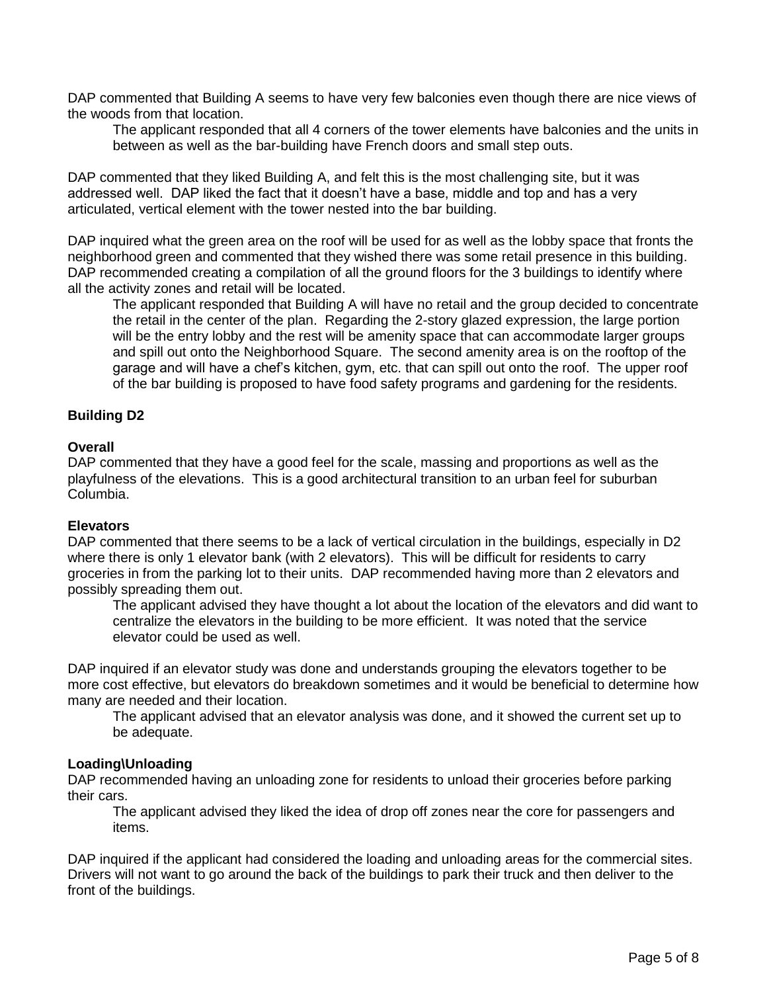DAP commented that Building A seems to have very few balconies even though there are nice views of the woods from that location.

The applicant responded that all 4 corners of the tower elements have balconies and the units in between as well as the bar-building have French doors and small step outs.

DAP commented that they liked Building A, and felt this is the most challenging site, but it was addressed well. DAP liked the fact that it doesn't have a base, middle and top and has a very articulated, vertical element with the tower nested into the bar building.

DAP inquired what the green area on the roof will be used for as well as the lobby space that fronts the neighborhood green and commented that they wished there was some retail presence in this building. DAP recommended creating a compilation of all the ground floors for the 3 buildings to identify where all the activity zones and retail will be located.

The applicant responded that Building A will have no retail and the group decided to concentrate the retail in the center of the plan. Regarding the 2-story glazed expression, the large portion will be the entry lobby and the rest will be amenity space that can accommodate larger groups and spill out onto the Neighborhood Square. The second amenity area is on the rooftop of the garage and will have a chef's kitchen, gym, etc. that can spill out onto the roof. The upper roof of the bar building is proposed to have food safety programs and gardening for the residents.

## **Building D2**

## **Overall**

DAP commented that they have a good feel for the scale, massing and proportions as well as the playfulness of the elevations. This is a good architectural transition to an urban feel for suburban Columbia.

#### **Elevators**

DAP commented that there seems to be a lack of vertical circulation in the buildings, especially in D2 where there is only 1 elevator bank (with 2 elevators). This will be difficult for residents to carry groceries in from the parking lot to their units. DAP recommended having more than 2 elevators and possibly spreading them out.

The applicant advised they have thought a lot about the location of the elevators and did want to centralize the elevators in the building to be more efficient. It was noted that the service elevator could be used as well.

DAP inquired if an elevator study was done and understands grouping the elevators together to be more cost effective, but elevators do breakdown sometimes and it would be beneficial to determine how many are needed and their location.

The applicant advised that an elevator analysis was done, and it showed the current set up to be adequate.

#### **Loading\Unloading**

DAP recommended having an unloading zone for residents to unload their groceries before parking their cars.

The applicant advised they liked the idea of drop off zones near the core for passengers and items.

DAP inquired if the applicant had considered the loading and unloading areas for the commercial sites. Drivers will not want to go around the back of the buildings to park their truck and then deliver to the front of the buildings.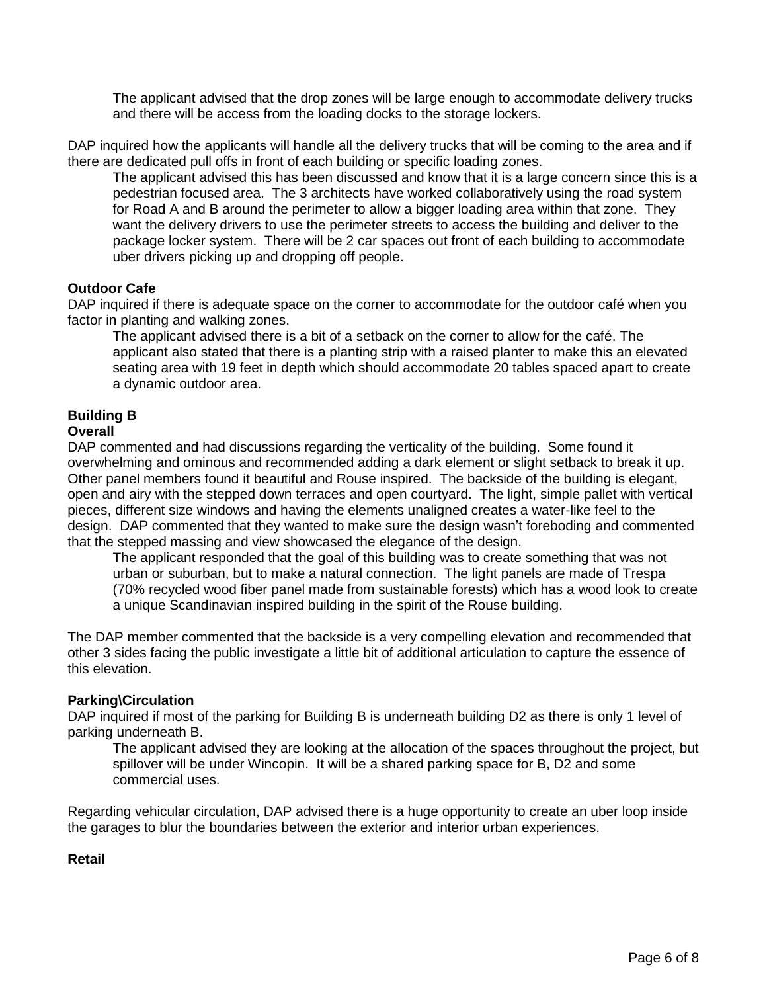The applicant advised that the drop zones will be large enough to accommodate delivery trucks and there will be access from the loading docks to the storage lockers.

DAP inquired how the applicants will handle all the delivery trucks that will be coming to the area and if there are dedicated pull offs in front of each building or specific loading zones.

The applicant advised this has been discussed and know that it is a large concern since this is a pedestrian focused area. The 3 architects have worked collaboratively using the road system for Road A and B around the perimeter to allow a bigger loading area within that zone. They want the delivery drivers to use the perimeter streets to access the building and deliver to the package locker system. There will be 2 car spaces out front of each building to accommodate uber drivers picking up and dropping off people.

## **Outdoor Cafe**

DAP inquired if there is adequate space on the corner to accommodate for the outdoor café when you factor in planting and walking zones.

The applicant advised there is a bit of a setback on the corner to allow for the café. The applicant also stated that there is a planting strip with a raised planter to make this an elevated seating area with 19 feet in depth which should accommodate 20 tables spaced apart to create a dynamic outdoor area.

# **Building B**

## **Overall**

DAP commented and had discussions regarding the verticality of the building. Some found it overwhelming and ominous and recommended adding a dark element or slight setback to break it up. Other panel members found it beautiful and Rouse inspired. The backside of the building is elegant, open and airy with the stepped down terraces and open courtyard. The light, simple pallet with vertical pieces, different size windows and having the elements unaligned creates a water-like feel to the design. DAP commented that they wanted to make sure the design wasn't foreboding and commented that the stepped massing and view showcased the elegance of the design.

The applicant responded that the goal of this building was to create something that was not urban or suburban, but to make a natural connection. The light panels are made of Trespa (70% recycled wood fiber panel made from sustainable forests) which has a wood look to create a unique Scandinavian inspired building in the spirit of the Rouse building.

The DAP member commented that the backside is a very compelling elevation and recommended that other 3 sides facing the public investigate a little bit of additional articulation to capture the essence of this elevation.

#### **Parking\Circulation**

DAP inquired if most of the parking for Building B is underneath building D2 as there is only 1 level of parking underneath B.

The applicant advised they are looking at the allocation of the spaces throughout the project, but spillover will be under Wincopin. It will be a shared parking space for B, D2 and some commercial uses.

Regarding vehicular circulation, DAP advised there is a huge opportunity to create an uber loop inside the garages to blur the boundaries between the exterior and interior urban experiences.

# **Retail**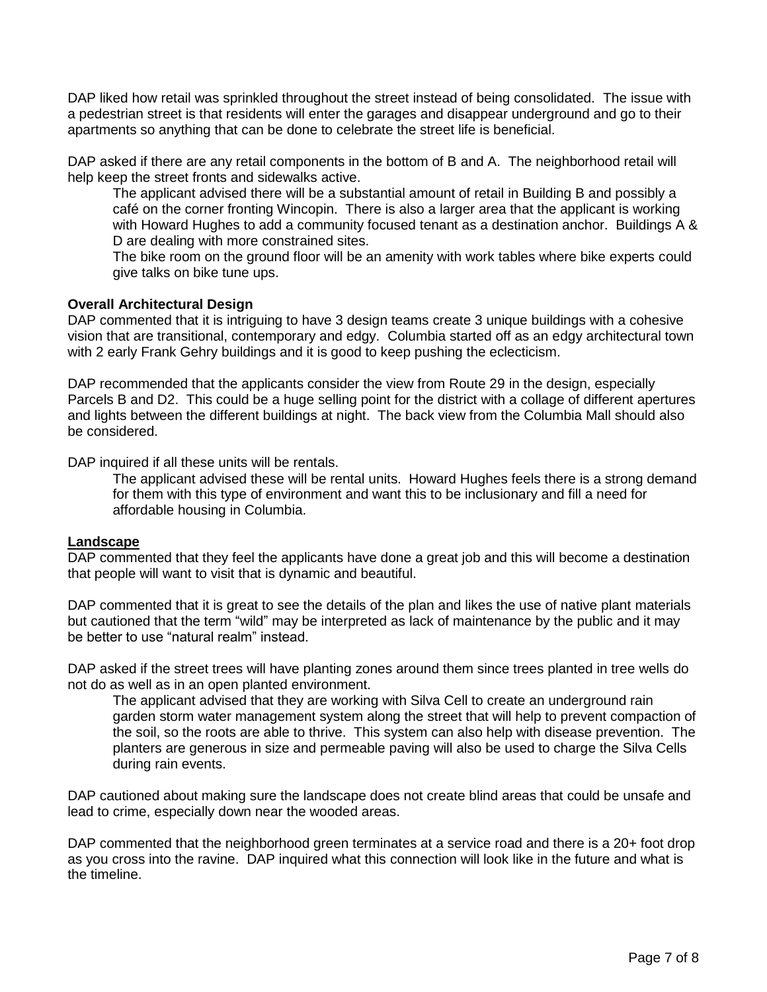DAP liked how retail was sprinkled throughout the street instead of being consolidated. The issue with a pedestrian street is that residents will enter the garages and disappear underground and go to their apartments so anything that can be done to celebrate the street life is beneficial.

DAP asked if there are any retail components in the bottom of B and A. The neighborhood retail will help keep the street fronts and sidewalks active.

The applicant advised there will be a substantial amount of retail in Building B and possibly a café on the corner fronting Wincopin. There is also a larger area that the applicant is working with Howard Hughes to add a community focused tenant as a destination anchor. Buildings A & D are dealing with more constrained sites.

The bike room on the ground floor will be an amenity with work tables where bike experts could give talks on bike tune ups.

## **Overall Architectural Design**

DAP commented that it is intriguing to have 3 design teams create 3 unique buildings with a cohesive vision that are transitional, contemporary and edgy. Columbia started off as an edgy architectural town with 2 early Frank Gehry buildings and it is good to keep pushing the eclecticism.

DAP recommended that the applicants consider the view from Route 29 in the design, especially Parcels B and D2. This could be a huge selling point for the district with a collage of different apertures and lights between the different buildings at night. The back view from the Columbia Mall should also be considered.

DAP inquired if all these units will be rentals.

The applicant advised these will be rental units. Howard Hughes feels there is a strong demand for them with this type of environment and want this to be inclusionary and fill a need for affordable housing in Columbia.

#### **Landscape**

DAP commented that they feel the applicants have done a great job and this will become a destination that people will want to visit that is dynamic and beautiful.

DAP commented that it is great to see the details of the plan and likes the use of native plant materials but cautioned that the term "wild" may be interpreted as lack of maintenance by the public and it may be better to use "natural realm" instead.

DAP asked if the street trees will have planting zones around them since trees planted in tree wells do not do as well as in an open planted environment.

The applicant advised that they are working with Silva Cell to create an underground rain garden storm water management system along the street that will help to prevent compaction of the soil, so the roots are able to thrive. This system can also help with disease prevention. The planters are generous in size and permeable paving will also be used to charge the Silva Cells during rain events.

DAP cautioned about making sure the landscape does not create blind areas that could be unsafe and lead to crime, especially down near the wooded areas.

DAP commented that the neighborhood green terminates at a service road and there is a 20+ foot drop as you cross into the ravine. DAP inquired what this connection will look like in the future and what is the timeline.